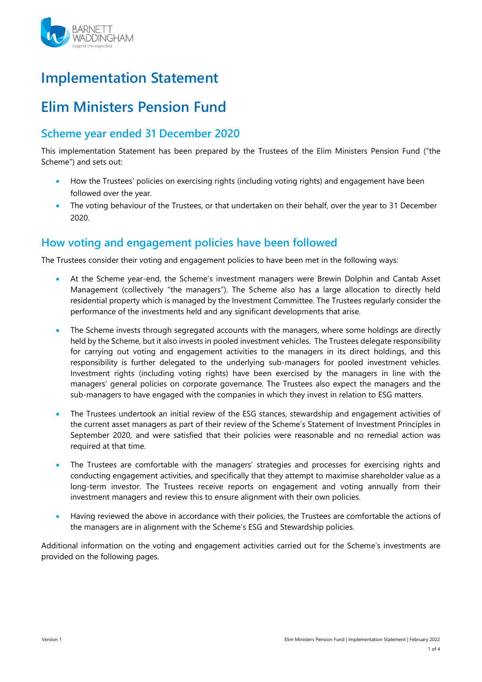

# **Implementation Statement**

# **Elim Ministers Pension Fund**

# **Scheme year ended 31 December 2020**

This implementation Statement has been prepared by the Trustees of the Elim Ministers Pension Fund ("the Scheme") and sets out:

- How the Trustees' policies on exercising rights (including voting rights) and engagement have been followed over the year.
- The voting behaviour of the Trustees, or that undertaken on their behalf, over the year to 31 December 2020.

## **How voting and engagement policies have been followed**

The Trustees consider their voting and engagement policies to have been met in the following ways:

- At the Scheme year-end, the Scheme's investment managers were Brewin Dolphin and Cantab Asset Management (collectively "the managers"). The Scheme also has a large allocation to directly held residential property which is managed by the Investment Committee. The Trustees regularly consider the performance of the investments held and any significant developments that arise.
- The Scheme invests through segregated accounts with the managers, where some holdings are directly held by the Scheme, but it also invests in pooled investment vehicles. The Trustees delegate responsibility for carrying out voting and engagement activities to the managers in its direct holdings, and this responsibility is further delegated to the underlying sub-managers for pooled investment vehicles. Investment rights (including voting rights) have been exercised by the managers in line with the managers' general policies on corporate governance. The Trustees also expect the managers and the sub-managers to have engaged with the companies in which they invest in relation to ESG matters.
- The Trustees undertook an initial review of the ESG stances, stewardship and engagement activities of the current asset managers as part of their review of the Scheme's Statement of Investment Principles in September 2020, and were satisfied that their policies were reasonable and no remedial action was required at that time.
- The Trustees are comfortable with the managers' strategies and processes for exercising rights and conducting engagement activities, and specifically that they attempt to maximise shareholder value as a long-term investor. The Trustees receive reports on engagement and voting annually from their investment managers and review this to ensure alignment with their own policies.
- Having reviewed the above in accordance with their policies, the Trustees are comfortable the actions of the managers are in alignment with the Scheme's ESG and Stewardship policies.

Additional information on the voting and engagement activities carried out for the Scheme's investments are provided on the following pages.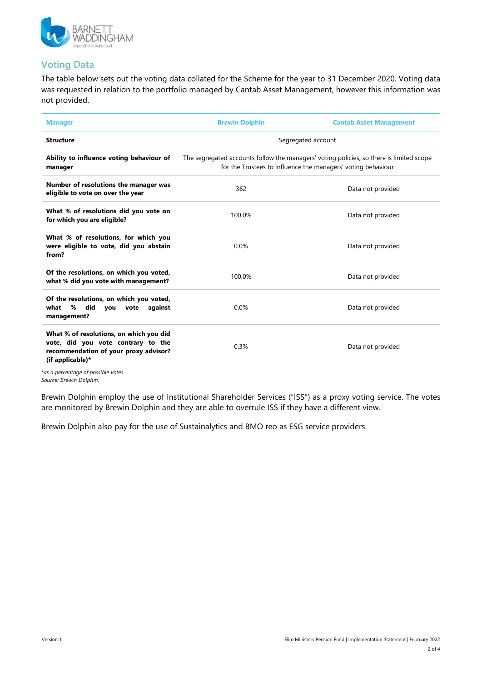

### **Voting Data**

The table below sets out the voting data collated for the Scheme for the year to 31 December 2020. Voting data was requested in relation to the portfolio managed by Cantab Asset Management, however this information was not provided.

| <b>Manager</b>                                                                                                                                                                   | <b>Brewin Dolphin</b>                                                                                                                                   | <b>Cantab Asset Management</b> |  |
|----------------------------------------------------------------------------------------------------------------------------------------------------------------------------------|---------------------------------------------------------------------------------------------------------------------------------------------------------|--------------------------------|--|
| <b>Structure</b>                                                                                                                                                                 | Segregated account                                                                                                                                      |                                |  |
| Ability to influence voting behaviour of<br>manager                                                                                                                              | The segregated accounts follow the managers' voting policies, so there is limited scope<br>for the Trustees to influence the managers' voting behaviour |                                |  |
| Number of resolutions the manager was<br>eligible to vote on over the year                                                                                                       | 362                                                                                                                                                     | Data not provided              |  |
| What % of resolutions did you vote on<br>for which you are eligible?                                                                                                             | 100.0%                                                                                                                                                  | Data not provided              |  |
| What % of resolutions, for which you<br>were eligible to vote, did you abstain<br>from?                                                                                          | 0.0%                                                                                                                                                    | Data not provided              |  |
| Of the resolutions, on which you voted,<br>what % did you vote with management?                                                                                                  | 100.0%                                                                                                                                                  | Data not provided              |  |
| Of the resolutions, on which you voted,<br>did<br>%<br>what<br>you<br>against<br>vote<br>management?                                                                             | 0.0%                                                                                                                                                    | Data not provided              |  |
| What % of resolutions, on which you did<br>vote, did you vote contrary to the<br>recommendation of your proxy advisor?<br>(if applicable)*<br>tas a norcontago of nosciblo votos | 0.3%                                                                                                                                                    | Data not provided              |  |

*\*as a percentage of possible votes Source: Brewin Dolphin.*

Brewin Dolphin employ the use of Institutional Shareholder Services ("ISS") as a proxy voting service. The votes are monitored by Brewin Dolphin and they are able to overrule ISS if they have a different view.

Brewin Dolphin also pay for the use of Sustainalytics and BMO reo as ESG service providers.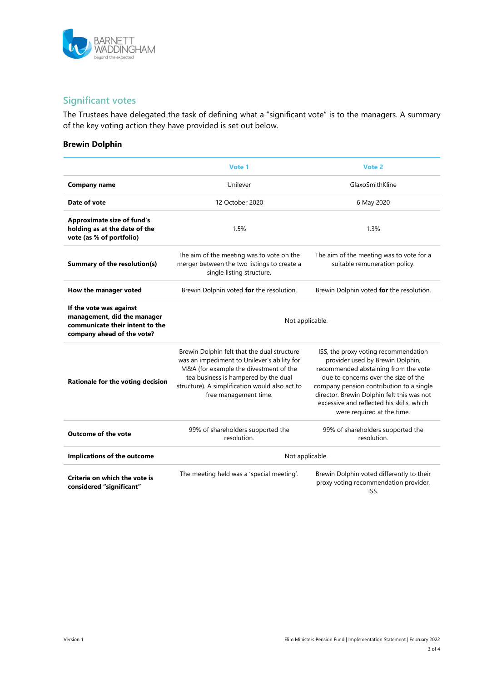

### **Significant votes**

The Trustees have delegated the task of defining what a "significant vote" is to the managers. A summary of the key voting action they have provided is set out below.

#### **Brewin Dolphin**

|                                                                                                                         | Vote 1                                                                                                                                                                                                                                                  | Vote 2                                                                                                                                                                                                                                                                                                                        |  |
|-------------------------------------------------------------------------------------------------------------------------|---------------------------------------------------------------------------------------------------------------------------------------------------------------------------------------------------------------------------------------------------------|-------------------------------------------------------------------------------------------------------------------------------------------------------------------------------------------------------------------------------------------------------------------------------------------------------------------------------|--|
| <b>Company name</b>                                                                                                     | Unilever                                                                                                                                                                                                                                                | GlaxoSmithKline                                                                                                                                                                                                                                                                                                               |  |
| Date of vote                                                                                                            | 12 October 2020                                                                                                                                                                                                                                         | 6 May 2020                                                                                                                                                                                                                                                                                                                    |  |
| <b>Approximate size of fund's</b><br>holding as at the date of the<br>vote (as % of portfolio)                          | 1.5%                                                                                                                                                                                                                                                    | 1.3%                                                                                                                                                                                                                                                                                                                          |  |
| Summary of the resolution(s)                                                                                            | The aim of the meeting was to vote on the<br>merger between the two listings to create a<br>single listing structure.                                                                                                                                   | The aim of the meeting was to vote for a<br>suitable remuneration policy.                                                                                                                                                                                                                                                     |  |
| How the manager voted                                                                                                   | Brewin Dolphin voted for the resolution.                                                                                                                                                                                                                | Brewin Dolphin voted for the resolution.                                                                                                                                                                                                                                                                                      |  |
| If the vote was against<br>management, did the manager<br>communicate their intent to the<br>company ahead of the vote? | Not applicable.                                                                                                                                                                                                                                         |                                                                                                                                                                                                                                                                                                                               |  |
| Rationale for the voting decision                                                                                       | Brewin Dolphin felt that the dual structure<br>was an impediment to Unilever's ability for<br>M&A (for example the divestment of the<br>tea business is hampered by the dual<br>structure). A simplification would also act to<br>free management time. | ISS, the proxy voting recommendation<br>provider used by Brewin Dolphin,<br>recommended abstaining from the vote<br>due to concerns over the size of the<br>company pension contribution to a single<br>director. Brewin Dolphin felt this was not<br>excessive and reflected his skills, which<br>were required at the time. |  |
| <b>Outcome of the vote</b>                                                                                              | 99% of shareholders supported the<br>resolution.                                                                                                                                                                                                        | 99% of shareholders supported the<br>resolution.                                                                                                                                                                                                                                                                              |  |
| Implications of the outcome                                                                                             | Not applicable.                                                                                                                                                                                                                                         |                                                                                                                                                                                                                                                                                                                               |  |
| Criteria on which the vote is<br>considered "significant"                                                               | The meeting held was a 'special meeting'.                                                                                                                                                                                                               | Brewin Dolphin voted differently to their<br>proxy voting recommendation provider,<br>ISS.                                                                                                                                                                                                                                    |  |